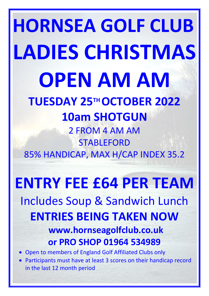# **HORNSEA GOLF CLUB LADIES CHRISTMAS OPEN AM AM TUESDAY 25TH OCTOBER 2022 10am SHOTGUN** 2 FROM 4 AM AM STABLEFORD

85% HANDICAP, MAX H/CAP INDEX 35.2

# **ENTRY FEE £64 PER TEAM** Includes Soup & Sandwich Lunch **ENTRIES BEING TAKEN NOW www.hornseagolfclub.co.uk or PRO SHOP 01964 534989**

• Open to members of England Golf Affiliated Clubs only

• Participants must have at least 3 scores on their handicap record in the last 12 month period